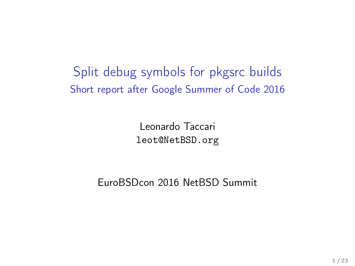Split debug symbols for pkgsrc builds Short report after Google Summer of Code 2016

> Leonardo Taccari leot@NetBSD.org

EuroBSDcon 2016 NetBSD Summit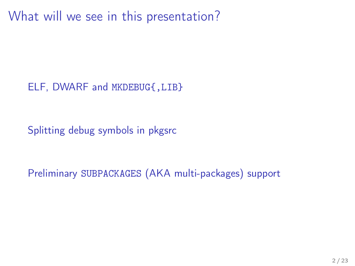What will we see in this presentation?

[ELF, DWARF and](#page-2-0) MKDEBUG{,LIB}

[Splitting debug symbols in pkgsrc](#page-14-0)

Preliminary SUBPACKAGES [\(AKA multi-packages\) support](#page-16-0)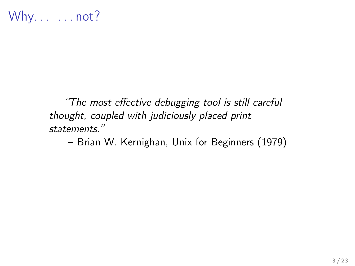<span id="page-2-0"></span>"The most effective debugging tool is still careful thought, coupled with judiciously placed print statements."

– Brian W. Kernighan, Unix for Beginners (1979)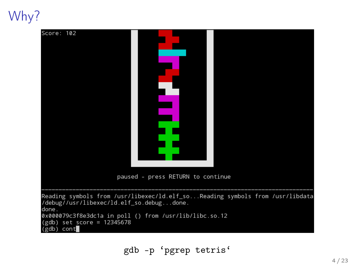Why?

| Score: 102                                                                                                                                                                                                                                      | paused - press RETURN to continue |  |
|-------------------------------------------------------------------------------------------------------------------------------------------------------------------------------------------------------------------------------------------------|-----------------------------------|--|
| Reading symbols from /usr/libexec/ld.elf_soReading symbols from /usr/libdata<br>/debug//usr/libexec/ld.elf_so.debugdone.<br>done.<br>0x000079c3f8e3dc1a in poll () from /usr/lib/libc.so.12<br>(gdb) set <u>s</u> core = 12345678<br>(gdb) cont |                                   |  |

gdb -p 'pgrep tetris'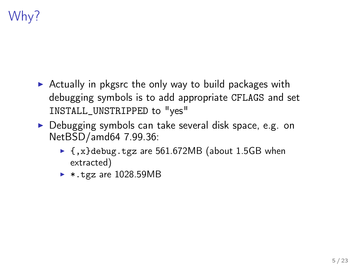# Why?

- $\triangleright$  Actually in pkgsrc the only way to build packages with debugging symbols is to add appropriate CFLAGS and set INSTALL\_UNSTRIPPED to "yes"
- ▶ Debugging symbols can take several disk space, e.g. on NetBSD/amd64 7.99.36:
	- $\blacktriangleright$  {, x}debug.tgz are 561.672MB (about 1.5GB when extracted)
	- $\blacktriangleright$  \*.tgz are 1028.59MB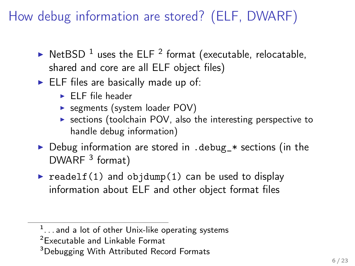How debug information are stored? (ELF, DWARF)

- $\blacktriangleright$  NetBSD <sup>1</sup> uses the ELF <sup>2</sup> format (executable, relocatable, shared and core are all ELF object files)
- $\blacktriangleright$  ELF files are basically made up of:
	- $\blacktriangleright$  ELF file header
	- $\triangleright$  segments (system loader POV)
	- $\triangleright$  sections (toolchain POV, also the interesting perspective to handle debug information)
- $\triangleright$  Debug information are stored in . debug\_ $*$  sections (in the  $DWARE<sup>3</sup>$  format)
- readelf(1) and objdump(1) can be used to display information about ELF and other object format files

 $1$ ... and a lot of other Unix-like operating systems

<sup>2</sup>Executable and Linkable Format

<sup>&</sup>lt;sup>3</sup>Debugging With Attributed Record Formats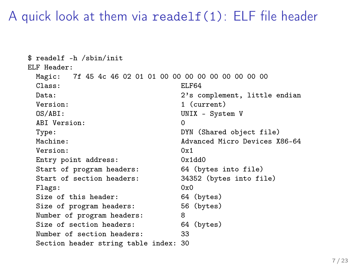#### A quick look at them via readelf(1): ELF file header

```
$ readelf -h /sbin/init
ELF Header:
 Magic: 7f 45 4c 46 02 01 01 00 00 00 00 00 00 00 00 00
 Class: ELF64
 Data: 2's complement, little endian
 Version: 1 (current)<br>0S/ABI: UNIX - Syst
                           UNIX - System V
 ABI Version: 0
 Type: DYN (Shared object file)
 Machine: Advanced Micro Devices X86-64
 Version: 0x1<br>Futry point address: 0x1dd0
 Entry point address:
 Start of program headers: 64 (bytes into file)
 Start of section headers: 34352 (bytes into file)
 Flags: 0x0Size of this header: 64 (bytes)
 Size of program headers: 56 (bytes)
 Number of program headers: 8
 Size of section headers: 64 (bytes)
 Number of section headers: 33
 Section header string table index: 30
```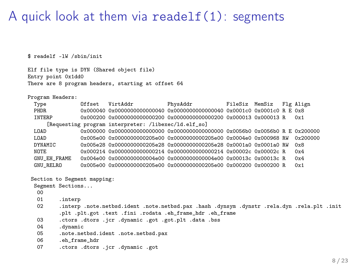#### A quick look at them via readelf(1): segments

\$ readelf -lW /sbin/init

Elf file type is DYN (Shared object file) Entry point 0x1dd0 There are 8 program headers, starting at offset 64

Program Headers:

| Type             | Offset                      | VirtAddr                                             | PhysAddr                                                                                    | FileSiz MemSiz |  | Flg Align |
|------------------|-----------------------------|------------------------------------------------------|---------------------------------------------------------------------------------------------|----------------|--|-----------|
| PHDR             |                             |                                                      |                                                                                             |                |  |           |
| INTERP           |                             |                                                      |                                                                                             |                |  |           |
|                  |                             | [Requesting program interpreter: /libexec/ld.elf_so] |                                                                                             |                |  |           |
| LOAD             |                             |                                                      |                                                                                             |                |  |           |
| LOAD             |                             |                                                      | 0x005e00 0x0000000000205e00 0x0000000000205e00 0x0004e0 0x000968 RW                         |                |  | 0x200000  |
| DYNAMIC          |                             |                                                      | 0x005e28 0x0000000000205e28 0x0000000000205e28 0x0001a0 0x0001a0 RW                         |                |  | 0x8       |
| NOTE.            |                             |                                                      | 0x000214 0x0000000000000214 0x0000000000000214 0x00002c 0x00002c R                          |                |  | 0x4       |
| GNU_EH_FRAME     |                             |                                                      |                                                                                             |                |  | 0x4       |
| GNU_RELRO        |                             |                                                      | 0x005e00 0x0000000000205e00 0x0000000000205e00 0x000200 0x000200 R                          |                |  | 0x1       |
|                  |                             |                                                      |                                                                                             |                |  |           |
|                  | Section to Segment mapping: |                                                      |                                                                                             |                |  |           |
| Segment Sections |                             |                                                      |                                                                                             |                |  |           |
| 00               |                             |                                                      |                                                                                             |                |  |           |
| 01               | .interp                     |                                                      |                                                                                             |                |  |           |
| 02               |                             |                                                      | .interp .note.netbsd.ident .note.netbsd.pax .hash .dynsym .dynstr .rela.dyn .rela.plt .init |                |  |           |
|                  |                             |                                                      | .plt.plt.got.text.fini.rodata.eh_frame_hdr.eh_frame                                         |                |  |           |
| 03               |                             | .ctors .dtors .jcr .dynamic .got .got.plt .data .bss |                                                                                             |                |  |           |
| 04               | .dynamic                    |                                                      |                                                                                             |                |  |           |
| 05               |                             | .note.netbsd.ident .note.netbsd.pax                  |                                                                                             |                |  |           |
| 06               | .eh frame hdr               |                                                      |                                                                                             |                |  |           |
| 07               |                             | .ctors .dtors .jcr .dynamic .got                     |                                                                                             |                |  |           |
|                  |                             |                                                      |                                                                                             |                |  |           |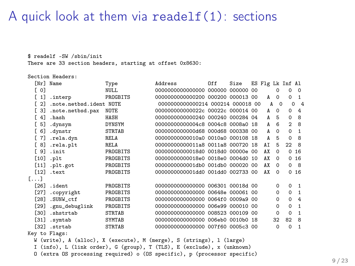#### A quick look at them via readelf(1): sections

\$ readelf -SW /sbin/init

There are 33 section headers, starting at offset 0x8630:

#### Section Headers:

|                   | [Nr] Name               | Type          | Address                                                              | 0ff | Size | ES Flg Lk Inf Al |          |                |                |
|-------------------|-------------------------|---------------|----------------------------------------------------------------------|-----|------|------------------|----------|----------------|----------------|
| [ 0]              |                         | NULL.         | 0000000000000000 000000 000000 00                                    |     |      |                  | 0        | 0              | $\Omega$       |
| [1]               | .interp                 | PROGBITS      | 00000000000000200 000200 000013 00                                   |     |      | A                | $\Omega$ | $\Omega$       | $\mathbf{1}$   |
| $\lceil 2 \rceil$ | .note.netbsd.ident NOTE |               | 00000000000000214 000214 000018 00                                   |     |      | A                | $\Omega$ | $\Omega$       | $\overline{4}$ |
| [3]               | .note.netbsd.pax        | <b>NOTE</b>   | 000000000000022c 00022c 000014 00                                    |     |      | A                | $\Omega$ | $\Omega$       | 4              |
| [4]               | .hash                   | HASH          | 00000000000000240 000240 000284 04                                   |     |      | A                | 5        | $\Omega$       | 8              |
| 5]<br>E.          | .dynsym                 | <b>DYNSYM</b> | 000000000000004c8 0004c8 0008a0 18                                   |     |      | A                | 6        | $\mathfrak{D}$ | 8              |
| [6]               | .dynstr                 | <b>STRTAB</b> | 00000000000000d68 000d68 000338 00                                   |     |      | A                | $\Omega$ | $\Omega$       | $\mathbf{1}$   |
| [7]               | .rela.dyn               | RELA          | 00000000000010a0 0010a0 000108 18                                    |     |      | A                | 5        | $\mathbf 0$    | 8              |
| [8]               | .rela.plt               | RELA          | 00000000000011a8 0011a8 000720 18                                    |     |      | AT               | 5        | $22^{\circ}8$  |                |
| <b>F</b> 91       | .init                   | PROGBITS      | 000000000000018d0 0018d0 00000e 00                                   |     |      | AX               | $\Omega$ |                | 016            |
|                   | $[10]$ .plt             | PROGBITS      | 00000000000018e0 0018e0 0004d0 10                                    |     |      | AX               | $\Omega$ |                | 016            |
|                   | $[11]$ .plt.got         | PROGBITS      | 0000000000001db0 001db0 000020 00                                    |     |      | AX               | $\Omega$ | $\Omega$       | - 8            |
|                   | [12] .text              | PROGBITS      | 0000000000001dd0 001dd0 002733 00                                    |     |      | AX               | $\Omega$ |                | 016            |
| []                |                         |               |                                                                      |     |      |                  |          |                |                |
| [26]              | .ident                  | PROGBITS      | 00000000000000000 006301 00018d 00                                   |     |      |                  | $\Omega$ | $\Omega$       | $\mathbf{1}$   |
| $[27]$            | .copyright              | PROGBITS      | 00000000000000000 00648e 000061 00                                   |     |      |                  | $\Omega$ | $\Omega$       | $\mathbf{1}$   |
| [28]              | .SUNW_ctf               | PROGBITS      | 00000000000000000 0064f0 0009a9 00                                   |     |      |                  | $\Omega$ | $\Omega$       | 4              |
| [29]              | .gnu_debuglink          | PROGBITS      | 00000000000000000 006e99 000010 00                                   |     |      |                  | $\Omega$ | $\Omega$       | $\mathbf{1}$   |
| [30]              | .shstrtab               | <b>STRTAB</b> | 00000000000000000 008523 000109 00                                   |     |      |                  | $\Omega$ | $\Omega$       | $\mathbf{1}$   |
| [31]              | .symtab                 | <b>SYMTAB</b> | 00000000000000000 006eb0 0010b0 18                                   |     |      |                  | 32       | 82             | 8              |
| <b>1321</b>       | .strtab                 | <b>STRTAB</b> | 0000000000000000 007f60 0005c3 00                                    |     |      |                  | $\Omega$ | $\Omega$       | $\mathbf{1}$   |
|                   | Key to Flags:           |               |                                                                      |     |      |                  |          |                |                |
|                   |                         |               | W (write), A (alloc), X (execute), M (merge), S (strings), l (large) |     |      |                  |          |                |                |

I (info), L (link order), G (group), T (TLS), E (exclude), x (unknown)

O (extra OS processing required) o (OS specific), p (processor specific)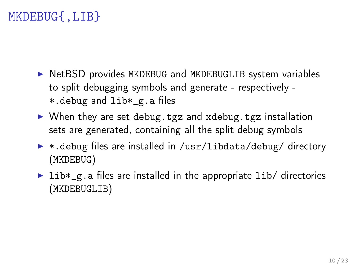## MKDEBUG{,LIB}

- $\triangleright$  NetBSD provides MKDEBUG and MKDEBUGLIB system variables to split debugging symbols and generate - respectively - \*.debug and lib\*\_g.a files
- $\triangleright$  When they are set debug.tgz and xdebug.tgz installation sets are generated, containing all the split debug symbols
- ▶ \*.debug files are installed in /usr/libdata/debug/ directory (MKDEBUG)
- $\triangleright$  lib\*\_g.a files are installed in the appropriate lib/ directories (MKDEBUGLIB)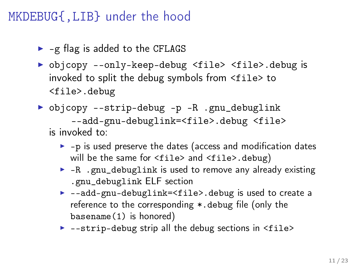#### MKDEBUG{,LIB} under the hood

- $\blacktriangleright$  -g flag is added to the CFLAGS
- ▶ objcopy --only-keep-debug <file> <file>.debug is invoked to split the debug symbols from <file> to <file>.debug
- ▶ objcopy --strip-debug -p -R .gnu\_debuglink --add-gnu-debuglink=<file>.debug <file> is invoked to:
	- $\blacktriangleright$  -p is used preserve the dates (access and modification dates will be the same for <file> and <file>.debug)
	- $\blacktriangleright$  -R .gnu\_debuglink is used to remove any already existing .gnu\_debuglink ELF section
	- ▶ --add-gnu-debuglink=<file>.debug is used to create a reference to the corresponding \*.debug file (only the basename(1) is honored)
	- $\blacktriangleright$  --strip-debug strip all the debug sections in  $\langle$ file>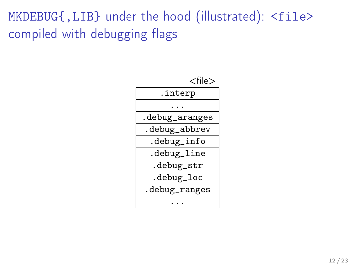# MKDEBUG{, LIB} under the hood (illustrated): <file> compiled with debugging flags

| $<$ file $>$   |  |  |
|----------------|--|--|
| .interp        |  |  |
|                |  |  |
| .debug_aranges |  |  |
| .debug_abbrev  |  |  |
| .debug_info    |  |  |
| .debug_line    |  |  |
| .debug_str     |  |  |
| .debug_loc     |  |  |
| .debug_ranges  |  |  |
|                |  |  |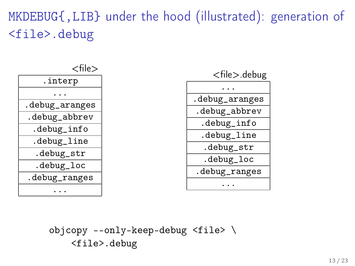# MKDEBUG{,LIB} under the hood (illustrated): generation of <file>.debug



objcopy --only-keep-debug <file> \ <file>.debug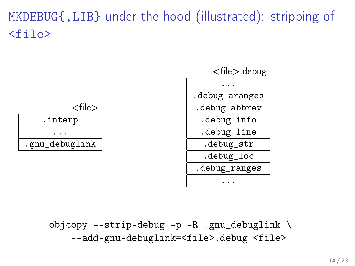# MKDEBUG{,LIB} under the hood (illustrated): stripping of  $<$ file $>$



objcopy --strip-debug -p -R .gnu\_debuglink \ --add-gnu-debuglink=<file>.debug <file>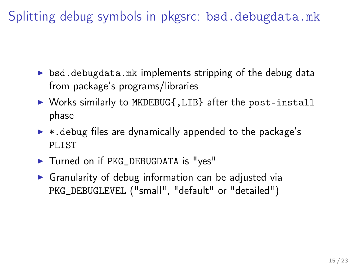<span id="page-14-0"></span>Splitting debug symbols in pkgsrc: bsd.debugdata.mk

- $\triangleright$  bsd.debugdata.mk implements stripping of the debug data from package's programs/libraries
- ▶ Works similarly to MKDEBUG{, LIB} after the post-install phase
- $\triangleright$  \*.debug files are dynamically appended to the package's PLIST
- Turned on if PKG\_DEBUGDATA is "yes"
- $\triangleright$  Granularity of debug information can be adjusted via PKG\_DEBUGLEVEL ("small", "default" or "detailed")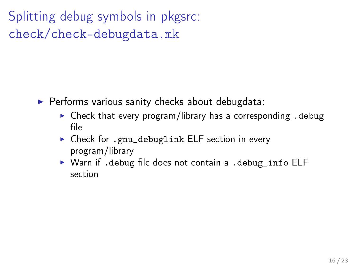Splitting debug symbols in pkgsrc: check/check-debugdata.mk

- $\blacktriangleright$  Performs various sanity checks about debugdata:
	- $\triangleright$  Check that every program/library has a corresponding . debug file
	- ▶ Check for .gnu\_debuglink ELF section in every program/library
	- ▶ Warn if .debug file does not contain a .debug\_info ELF section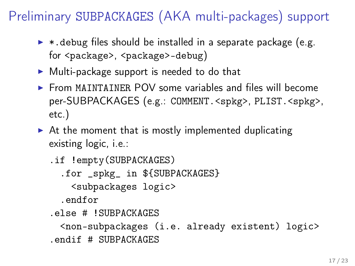# <span id="page-16-0"></span>Preliminary SUBPACKAGES (AKA multi-packages) support

- $\triangleright$  \* debug files should be installed in a separate package (e.g. for <package>, <package>-debug)
- $\triangleright$  Multi-package support is needed to do that
- $\triangleright$  From MAINTAINER POV some variables and files will become per-SUBPACKAGES (e.g.: COMMENT.<spkg>, PLIST.<spkg>, etc.)
- $\triangleright$  At the moment that is mostly implemented duplicating existing logic, i.e.:

```
.if !empty(SUBPACKAGES)
  .for _spkg_ in ${SUBPACKAGES}
   <subpackages logic>
  .endfor
.else # !SUBPACKAGES
 <non-subpackages (i.e. already existent) logic>
.endif # SUBPACKAGES
```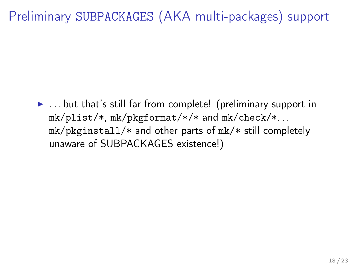# Preliminary SUBPACKAGES (AKA multi-packages) support

 $\blacktriangleright$  ... but that's still far from complete! (preliminary support in mk/plist/\*, mk/pkgformat/\*/\* and mk/check/\*. . . mk/pkginstall/\* and other parts of mk/\* still completely unaware of SUBPACKAGES existence!)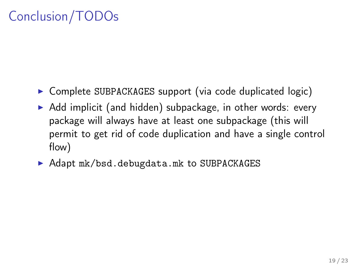# Conclusion/TODOs

- $\triangleright$  Complete SUBPACKAGES support (via code duplicated logic)
- $\triangleright$  Add implicit (and hidden) subpackage, in other words: every package will always have at least one subpackage (this will permit to get rid of code duplication and have a single control flow)
- ▶ Adapt mk/bsd.debugdata.mk to SUBPACKAGES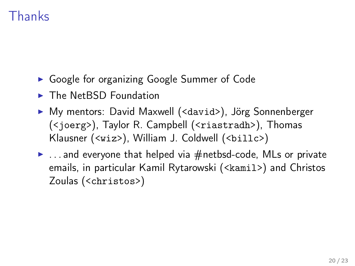# Thanks

- ▶ Google for organizing Google Summer of Code
- $\blacktriangleright$  The NetBSD Foundation
- ▶ My mentors: David Maxwell (<david>), Jörg Sonnenberger (<joerg>), Taylor R. Campbell (<riastradh>), Thomas Klausner (<wiz>), William J. Coldwell (<billc>)
- $\blacktriangleright$  ... and everyone that helped via  $#$ netbsd-code, MLs or private emails, in particular Kamil Rytarowski (<kamil>) and Christos Zoulas (<christos>)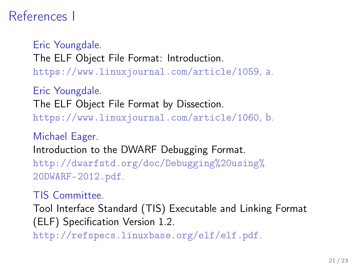## References I

Eric Youngdale. The ELF Object File Format: Introduction. <https://www.linuxjournal.com/article/1059>, a.

Eric Youngdale. The ELF Object File Format by Dissection. <https://www.linuxjournal.com/article/1060>, b.

Michael Eager. Introduction to the DWARF Debugging Format. [http://dwarfstd.org/doc/Debugging%20using%](http://dwarfstd.org/doc/Debugging%20using%20DWARF-2012.pdf) [20DWARF-2012.pdf](http://dwarfstd.org/doc/Debugging%20using%20DWARF-2012.pdf).

TIS Committee.

Tool Interface Standard (TIS) Executable and Linking Format (ELF) Specification Version 1.2.

<http://refspecs.linuxbase.org/elf/elf.pdf>.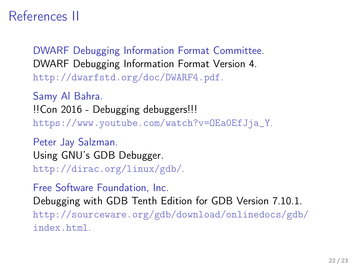## References II

DWARF Debugging Information Format Committee. DWARF Debugging Information Format Version 4. <http://dwarfstd.org/doc/DWARF4.pdf>.

Samy Al Bahra. !!Con 2016 - Debugging debuggers!!! [https://www.youtube.com/watch?v=OEa0EfJja\\_Y](https://www.youtube.com/watch?v=OEa0EfJja_Y).

Peter Jay Salzman. Using GNU's GDB Debugger. <http://dirac.org/linux/gdb/>.

Free Software Foundation, Inc. Debugging with GDB Tenth Edition for GDB Version 7.10.1. [http://sourceware.org/gdb/download/onlinedocs/gdb/](http://sourceware.org/gdb/download/onlinedocs/gdb/index.html) [index.html](http://sourceware.org/gdb/download/onlinedocs/gdb/index.html).